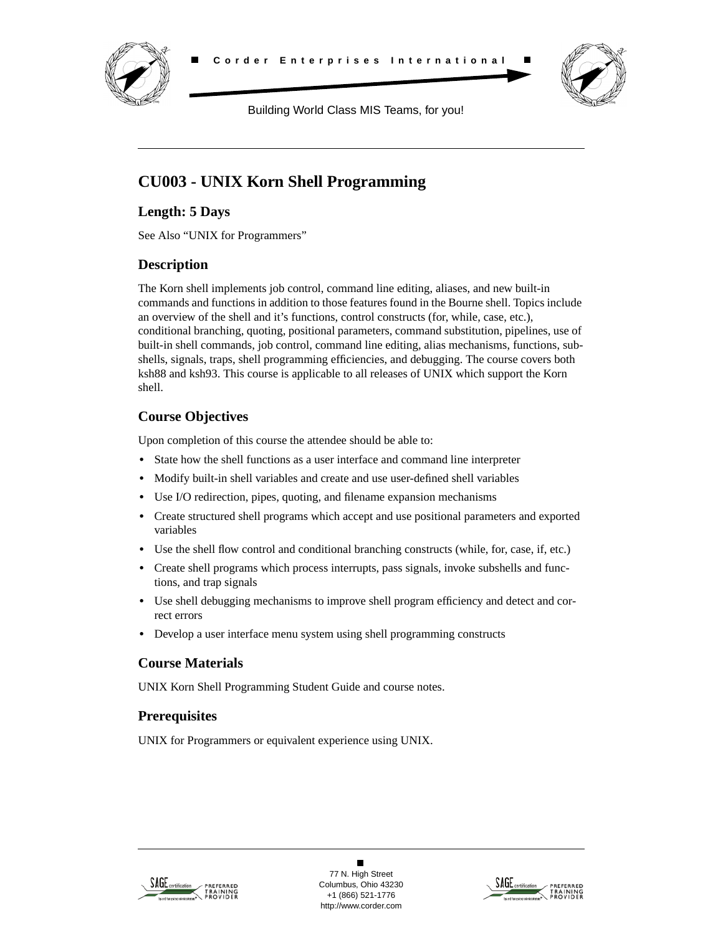



Building World Class MIS Teams, for you!

# **CU003 - UNIX Korn Shell Programming**

### **Length: 5 Days**

See Also "UNIX for Programmers"

## **Description**

The Korn shell implements job control, command line editing, aliases, and new built-in commands and functions in addition to those features found in the Bourne shell. Topics include an overview of the shell and it's functions, control constructs (for, while, case, etc.), conditional branching, quoting, positional parameters, command substitution, pipelines, use of built-in shell commands, job control, command line editing, alias mechanisms, functions, subshells, signals, traps, shell programming efficiencies, and debugging. The course covers both ksh88 and ksh93. This course is applicable to all releases of UNIX which support the Korn shell.

## **Course Objectives**

Upon completion of this course the attendee should be able to:

- **•** State how the shell functions as a user interface and command line interpreter
- **•** Modify built-in shell variables and create and use user-defined shell variables
- **•** Use I/O redirection, pipes, quoting, and filename expansion mechanisms
- Create structured shell programs which accept and use positional parameters and exported variables
- Use the shell flow control and conditional branching constructs (while, for, case, if, etc.)
- Create shell programs which process interrupts, pass signals, invoke subshells and functions, and trap signals
- **•** Use shell debugging mechanisms to improve shell program efficiency and detect and correct errors
- **•** Develop a user interface menu system using shell programming constructs

### **Course Materials**

UNIX Korn Shell Programming Student Guide and course notes.

### **Prerequisites**

UNIX for Programmers or equivalent experience using UNIX.



 $\blacksquare$ 77 N. High Street Columbus, Ohio 43230 +1 (866) 521-1776 http://www.corder.com

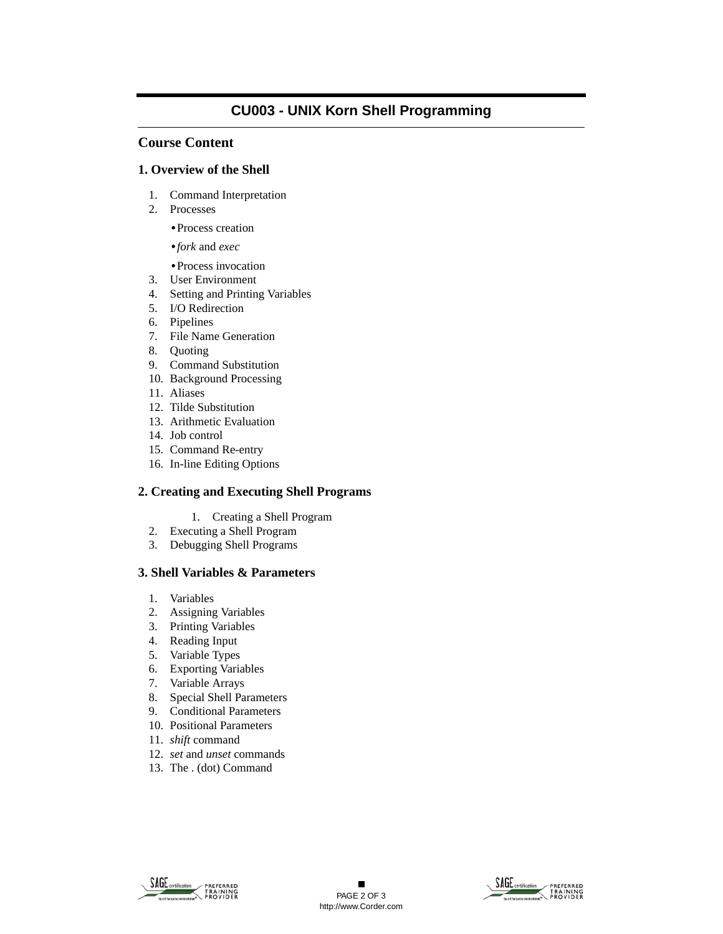## **CU003 - UNIX Korn Shell Programming**

### **Course Content**

#### **1. Overview of the Shell**

- 1. Command Interpretation
- 2. Processes

**•**Process creation

- **•***fork* and *exec*
- **•**Process invocation
- 3. User Environment
- 4. Setting and Printing Variables
- 5. I/O Redirection
- 6. Pipelines
- 7. File Name Generation
- 8. Quoting
- 9. Command Substitution
- 10. Background Processing
- 11. Aliases
- 12. Tilde Substitution
- 13. Arithmetic Evaluation
- 14. Job control
- 15. Command Re-entry
- 16. In-line Editing Options

#### **2. Creating and Executing Shell Programs**

- 1. Creating a Shell Program
- 2. Executing a Shell Program
- 3. Debugging Shell Programs

#### **3. Shell Variables & Parameters**

- 1. Variables
- 2. Assigning Variables
- 3. Printing Variables
- 4. Reading Input
- 5. Variable Types
- 6. Exporting Variables
- 7. Variable Arrays
- 8. Special Shell Parameters
- 9. Conditional Parameters
- 10. Positional Parameters
- 11. *shift* command
- 12. *set* and *unset* commands
- 13. The . (dot) Command